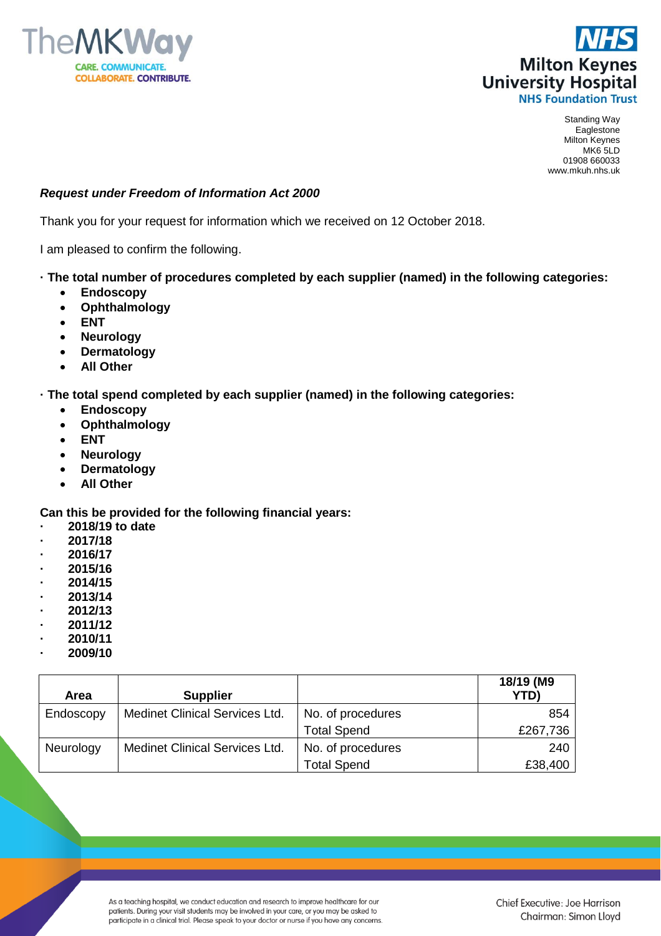



Standing Way Eaglestone Milton Keynes MK6 5LD 01908 660033 www.mkuh.nhs.uk

## *Request under Freedom of Information Act 2000*

Thank you for your request for information which we received on 12 October 2018.

I am pleased to confirm the following.

## **· The total number of procedures completed by each supplier (named) in the following categories:**

- **Endoscopy**
- **Ophthalmology**
- **ENT**
- **Neurology**
- **Dermatology**
- **All Other**

**· The total spend completed by each supplier (named) in the following categories:**

- **Endoscopy**
- **Ophthalmology**
- **ENT**
- **Neurology**
- **Dermatology**
- **All Other**

**Can this be provided for the following financial years:**

- **· 2018/19 to date**
- **· 2017/18**
- **· 2016/17**
- **· 2015/16**
- **· 2014/15**
- **· 2013/14**
- **· 2012/13**
- **· 2011/12**
- **· 2010/11**
- **· 2009/10**

| Area      | <b>Supplier</b>                       |                    | 18/19 (M9<br><b>YTD)</b> |
|-----------|---------------------------------------|--------------------|--------------------------|
| Endoscopy | <b>Medinet Clinical Services Ltd.</b> | No. of procedures  | 854                      |
|           |                                       | <b>Total Spend</b> | £267,736                 |
| Neurology | <b>Medinet Clinical Services Ltd.</b> | No. of procedures  | 240                      |
|           |                                       | <b>Total Spend</b> | £38,400                  |

As a teaching hospital, we conduct education and research to improve healthcare for our patients. During your visit students may be involved in your care, or you may be asked to participate in a clinical trial. Please speak to your doctor or nurse if you have any concerns.